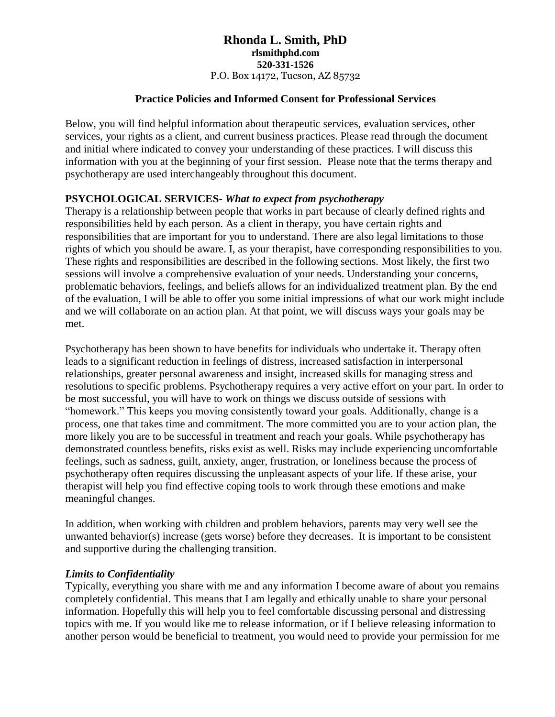#### **Practice Policies and Informed Consent for Professional Services**

Below, you will find helpful information about therapeutic services, evaluation services, other services, your rights as a client, and current business practices. Please read through the document and initial where indicated to convey your understanding of these practices. I will discuss this information with you at the beginning of your first session. Please note that the terms therapy and psychotherapy are used interchangeably throughout this document.

## **PSYCHOLOGICAL SERVICES-** *What to expect from psychotherapy*

Therapy is a relationship between people that works in part because of clearly defined rights and responsibilities held by each person. As a client in therapy, you have certain rights and responsibilities that are important for you to understand. There are also legal limitations to those rights of which you should be aware. I, as your therapist, have corresponding responsibilities to you. These rights and responsibilities are described in the following sections. Most likely, the first two sessions will involve a comprehensive evaluation of your needs. Understanding your concerns, problematic behaviors, feelings, and beliefs allows for an individualized treatment plan. By the end of the evaluation, I will be able to offer you some initial impressions of what our work might include and we will collaborate on an action plan. At that point, we will discuss ways your goals may be met.

Psychotherapy has been shown to have benefits for individuals who undertake it. Therapy often leads to a significant reduction in feelings of distress, increased satisfaction in interpersonal relationships, greater personal awareness and insight, increased skills for managing stress and resolutions to specific problems. Psychotherapy requires a very active effort on your part. In order to be most successful, you will have to work on things we discuss outside of sessions with "homework." This keeps you moving consistently toward your goals. Additionally, change is a process, one that takes time and commitment. The more committed you are to your action plan, the more likely you are to be successful in treatment and reach your goals. While psychotherapy has demonstrated countless benefits, risks exist as well. Risks may include experiencing uncomfortable feelings, such as sadness, guilt, anxiety, anger, frustration, or loneliness because the process of psychotherapy often requires discussing the unpleasant aspects of your life. If these arise, your therapist will help you find effective coping tools to work through these emotions and make meaningful changes.

In addition, when working with children and problem behaviors, parents may very well see the unwanted behavior(s) increase (gets worse) before they decreases. It is important to be consistent and supportive during the challenging transition.

#### *Limits to Confidentiality*

Typically, everything you share with me and any information I become aware of about you remains completely confidential. This means that I am legally and ethically unable to share your personal information. Hopefully this will help you to feel comfortable discussing personal and distressing topics with me. If you would like me to release information, or if I believe releasing information to another person would be beneficial to treatment, you would need to provide your permission for me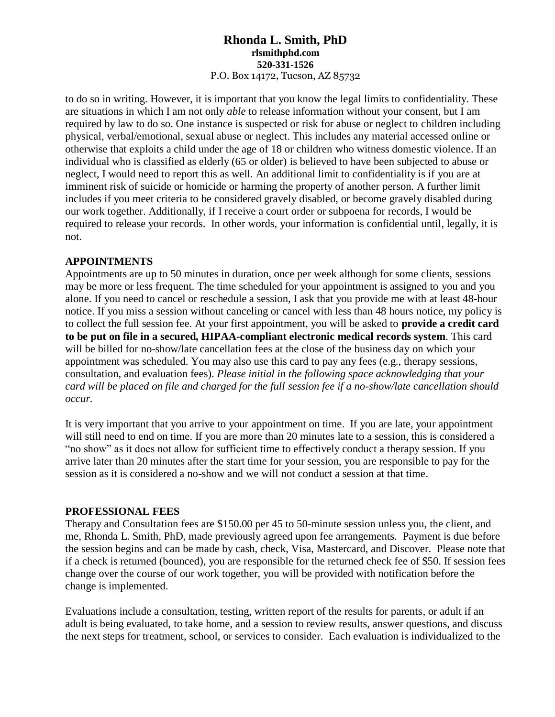to do so in writing. However, it is important that you know the legal limits to confidentiality. These are situations in which I am not only *able* to release information without your consent, but I am required by law to do so. One instance is suspected or risk for abuse or neglect to children including physical, verbal/emotional, sexual abuse or neglect. This includes any material accessed online or otherwise that exploits a child under the age of 18 or children who witness domestic violence. If an individual who is classified as elderly (65 or older) is believed to have been subjected to abuse or neglect, I would need to report this as well. An additional limit to confidentiality is if you are at imminent risk of suicide or homicide or harming the property of another person. A further limit includes if you meet criteria to be considered gravely disabled, or become gravely disabled during our work together. Additionally, if I receive a court order or subpoena for records, I would be required to release your records. In other words, your information is confidential until, legally, it is not.

# **APPOINTMENTS**

Appointments are up to 50 minutes in duration, once per week although for some clients, sessions may be more or less frequent. The time scheduled for your appointment is assigned to you and you alone. If you need to cancel or reschedule a session, I ask that you provide me with at least 48-hour notice. If you miss a session without canceling or cancel with less than 48 hours notice, my policy is to collect the full session fee. At your first appointment, you will be asked to **provide a credit card to be put on file in a secured, HIPAA-compliant electronic medical records system**. This card will be billed for no-show/late cancellation fees at the close of the business day on which your appointment was scheduled. You may also use this card to pay any fees (e.g., therapy sessions, consultation, and evaluation fees). *Please initial in the following space acknowledging that your card will be placed on file and charged for the full session fee if a no-show/late cancellation should occur.*

It is very important that you arrive to your appointment on time. If you are late, your appointment will still need to end on time. If you are more than 20 minutes late to a session, this is considered a "no show" as it does not allow for sufficient time to effectively conduct a therapy session. If you arrive later than 20 minutes after the start time for your session, you are responsible to pay for the session as it is considered a no-show and we will not conduct a session at that time.

#### **PROFESSIONAL FEES**

Therapy and Consultation fees are \$150.00 per 45 to 50-minute session unless you, the client, and me, Rhonda L. Smith, PhD, made previously agreed upon fee arrangements. Payment is due before the session begins and can be made by cash, check, Visa, Mastercard, and Discover. Please note that if a check is returned (bounced), you are responsible for the returned check fee of \$50. If session fees change over the course of our work together, you will be provided with notification before the change is implemented.

Evaluations include a consultation, testing, written report of the results for parents, or adult if an adult is being evaluated, to take home, and a session to review results, answer questions, and discuss the next steps for treatment, school, or services to consider. Each evaluation is individualized to the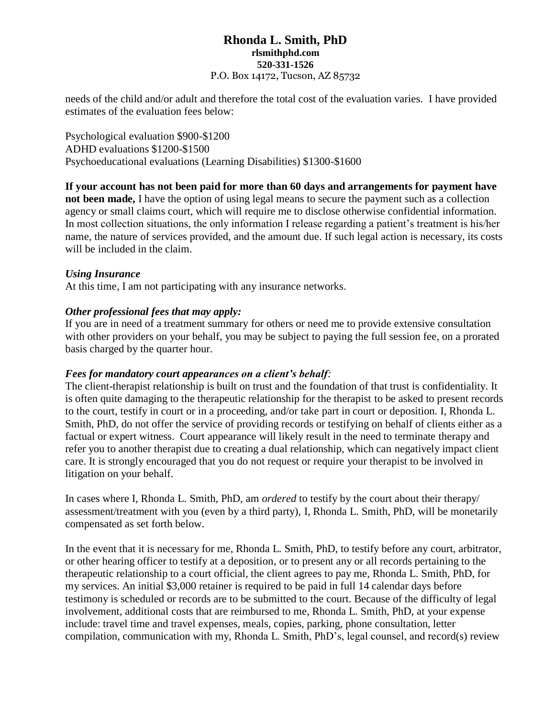needs of the child and/or adult and therefore the total cost of the evaluation varies. I have provided estimates of the evaluation fees below:

Psychological evaluation \$900-\$1200 ADHD evaluations \$1200-\$1500 Psychoeducational evaluations (Learning Disabilities) \$1300-\$1600

**If your account has not been paid for more than 60 days and arrangements for payment have not been made,** I have the option of using legal means to secure the payment such as a collection agency or small claims court, which will require me to disclose otherwise confidential information. In most collection situations, the only information I release regarding a patient's treatment is his/her name, the nature of services provided, and the amount due. If such legal action is necessary, its costs will be included in the claim.

## *Using Insurance*

At this time, I am not participating with any insurance networks.

## *Other professional fees that may apply:*

If you are in need of a treatment summary for others or need me to provide extensive consultation with other providers on your behalf, you may be subject to paying the full session fee, on a prorated basis charged by the quarter hour.

#### *Fees for mandatory court appearances on a client's behalf:*

The client-therapist relationship is built on trust and the foundation of that trust is confidentiality. It is often quite damaging to the therapeutic relationship for the therapist to be asked to present records to the court, testify in court or in a proceeding, and/or take part in court or deposition. I, Rhonda L. Smith, PhD, do not offer the service of providing records or testifying on behalf of clients either as a factual or expert witness. Court appearance will likely result in the need to terminate therapy and refer you to another therapist due to creating a dual relationship, which can negatively impact client care. It is strongly encouraged that you do not request or require your therapist to be involved in litigation on your behalf.

In cases where I, Rhonda L. Smith, PhD, am *ordered* to testify by the court about their therapy/ assessment/treatment with you (even by a third party), I, Rhonda L. Smith, PhD, will be monetarily compensated as set forth below.

In the event that it is necessary for me, Rhonda L. Smith, PhD, to testify before any court, arbitrator, or other hearing officer to testify at a deposition, or to present any or all records pertaining to the therapeutic relationship to a court official, the client agrees to pay me, Rhonda L. Smith, PhD, for my services. An initial \$3,000 retainer is required to be paid in full 14 calendar days before testimony is scheduled or records are to be submitted to the court. Because of the difficulty of legal involvement, additional costs that are reimbursed to me, Rhonda L. Smith, PhD, at your expense include: travel time and travel expenses, meals, copies, parking, phone consultation, letter compilation, communication with my, Rhonda L. Smith, PhD's, legal counsel, and record(s) review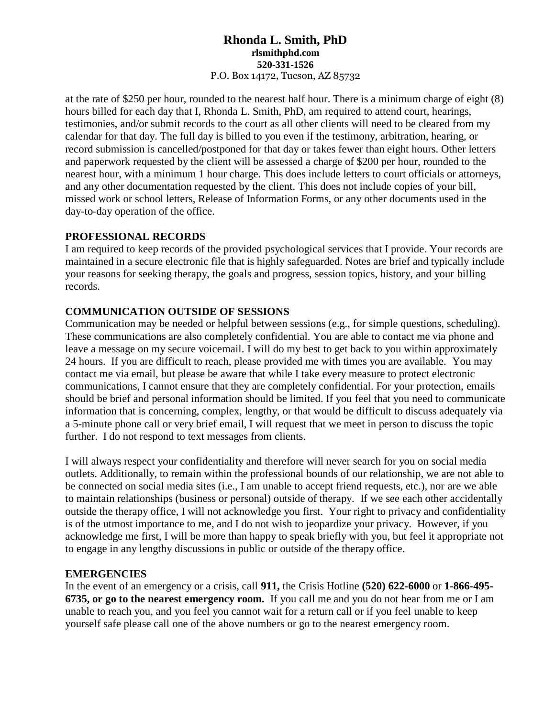at the rate of \$250 per hour, rounded to the nearest half hour. There is a minimum charge of eight (8) hours billed for each day that I, Rhonda L. Smith, PhD, am required to attend court, hearings, testimonies, and/or submit records to the court as all other clients will need to be cleared from my calendar for that day. The full day is billed to you even if the testimony, arbitration, hearing, or record submission is cancelled/postponed for that day or takes fewer than eight hours. Other letters and paperwork requested by the client will be assessed a charge of \$200 per hour, rounded to the nearest hour, with a minimum 1 hour charge. This does include letters to court officials or attorneys, and any other documentation requested by the client. This does not include copies of your bill, missed work or school letters, Release of Information Forms, or any other documents used in the day-to-day operation of the office.

## **PROFESSIONAL RECORDS**

I am required to keep records of the provided psychological services that I provide. Your records are maintained in a secure electronic file that is highly safeguarded. Notes are brief and typically include your reasons for seeking therapy, the goals and progress, session topics, history, and your billing records.

# **COMMUNICATION OUTSIDE OF SESSIONS**

Communication may be needed or helpful between sessions (e.g., for simple questions, scheduling). These communications are also completely confidential. You are able to contact me via phone and leave a message on my secure voicemail. I will do my best to get back to you within approximately 24 hours. If you are difficult to reach, please provided me with times you are available. You may contact me via email, but please be aware that while I take every measure to protect electronic communications, I cannot ensure that they are completely confidential. For your protection, emails should be brief and personal information should be limited. If you feel that you need to communicate information that is concerning, complex, lengthy, or that would be difficult to discuss adequately via a 5-minute phone call or very brief email, I will request that we meet in person to discuss the topic further. I do not respond to text messages from clients.

I will always respect your confidentiality and therefore will never search for you on social media outlets. Additionally, to remain within the professional bounds of our relationship, we are not able to be connected on social media sites (i.e., I am unable to accept friend requests, etc.), nor are we able to maintain relationships (business or personal) outside of therapy. If we see each other accidentally outside the therapy office, I will not acknowledge you first. Your right to privacy and confidentiality is of the utmost importance to me, and I do not wish to jeopardize your privacy. However, if you acknowledge me first, I will be more than happy to speak briefly with you, but feel it appropriate not to engage in any lengthy discussions in public or outside of the therapy office.

#### **EMERGENCIES**

In the event of an emergency or a crisis, call **911,** the Crisis Hotline **(520) 622-6000** or **1-866-495- 6735, or go to the nearest emergency room.** If you call me and you do not hear from me or I am unable to reach you, and you feel you cannot wait for a return call or if you feel unable to keep yourself safe please call one of the above numbers or go to the nearest emergency room.